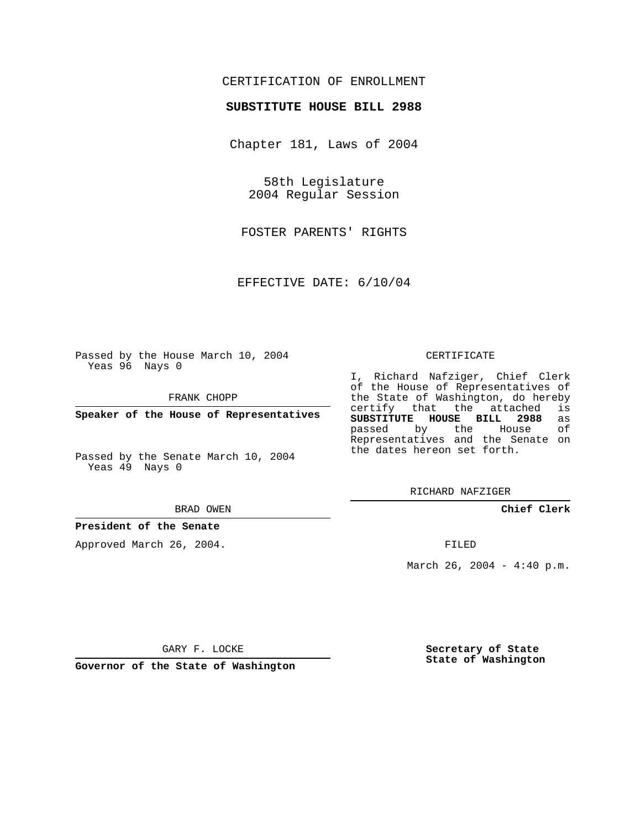# CERTIFICATION OF ENROLLMENT

### **SUBSTITUTE HOUSE BILL 2988**

Chapter 181, Laws of 2004

58th Legislature 2004 Regular Session

FOSTER PARENTS' RIGHTS

EFFECTIVE DATE: 6/10/04

Passed by the House March 10, 2004 Yeas 96 Nays 0

FRANK CHOPP

**Speaker of the House of Representatives**

Passed by the Senate March 10, 2004 Yeas 49 Nays 0

#### BRAD OWEN

### **President of the Senate**

Approved March 26, 2004.

#### CERTIFICATE

I, Richard Nafziger, Chief Clerk of the House of Representatives of the State of Washington, do hereby<br>certify that the attached is certify that the attached **SUBSTITUTE HOUSE BILL 2988** as passed by the House Representatives and the Senate on the dates hereon set forth.

RICHARD NAFZIGER

**Chief Clerk**

FILED

March 26, 2004 -  $4:40$  p.m.

GARY F. LOCKE

**Governor of the State of Washington**

**Secretary of State State of Washington**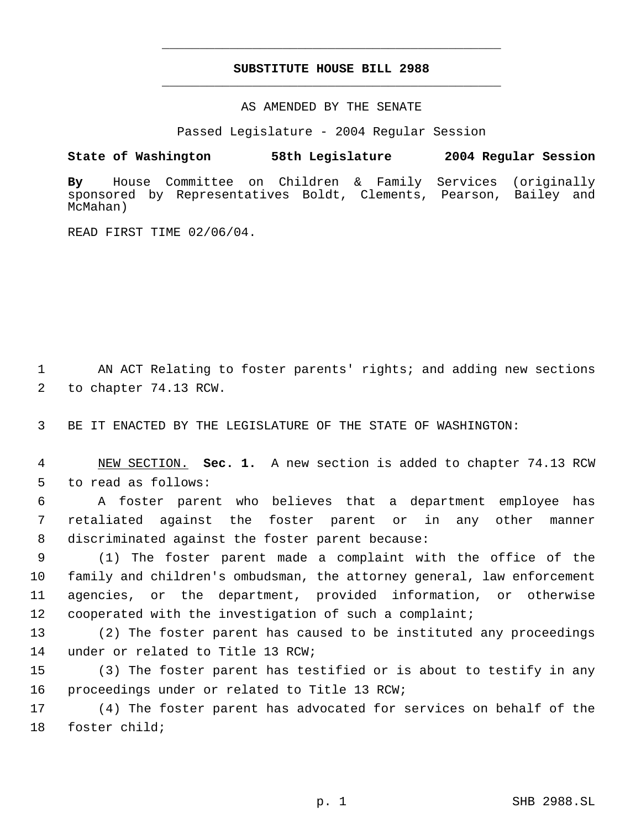# **SUBSTITUTE HOUSE BILL 2988** \_\_\_\_\_\_\_\_\_\_\_\_\_\_\_\_\_\_\_\_\_\_\_\_\_\_\_\_\_\_\_\_\_\_\_\_\_\_\_\_\_\_\_\_\_

\_\_\_\_\_\_\_\_\_\_\_\_\_\_\_\_\_\_\_\_\_\_\_\_\_\_\_\_\_\_\_\_\_\_\_\_\_\_\_\_\_\_\_\_\_

AS AMENDED BY THE SENATE

Passed Legislature - 2004 Regular Session

## **State of Washington 58th Legislature 2004 Regular Session**

**By** House Committee on Children & Family Services (originally sponsored by Representatives Boldt, Clements, Pearson, Bailey and McMahan)

READ FIRST TIME 02/06/04.

 AN ACT Relating to foster parents' rights; and adding new sections to chapter 74.13 RCW.

BE IT ENACTED BY THE LEGISLATURE OF THE STATE OF WASHINGTON:

 NEW SECTION. **Sec. 1.** A new section is added to chapter 74.13 RCW to read as follows:

 A foster parent who believes that a department employee has retaliated against the foster parent or in any other manner discriminated against the foster parent because:

 (1) The foster parent made a complaint with the office of the family and children's ombudsman, the attorney general, law enforcement agencies, or the department, provided information, or otherwise cooperated with the investigation of such a complaint;

 (2) The foster parent has caused to be instituted any proceedings under or related to Title 13 RCW;

 (3) The foster parent has testified or is about to testify in any proceedings under or related to Title 13 RCW;

 (4) The foster parent has advocated for services on behalf of the foster child;